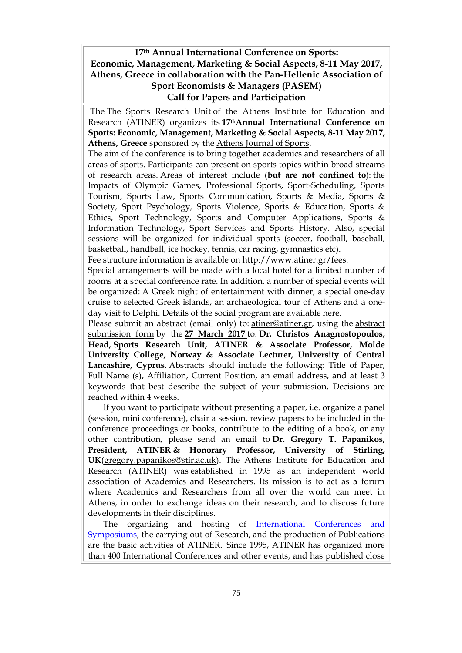## **17th Annual International Conference on Sports: Economic, Management, Marketing & Social Aspects, 8-11 May 2017, Athens, Greece in collaboration with the Pan-Hellenic Association of Sport Economists & Managers (PASEM) Call for Papers and Participation**

The The Sports [Research](http://www.atiner.gr/docs/SPORTS_UNIT.htm) Unit of the Athens Institute for Education and Research (ATINER) organizes its **17thAnnual International Conference on Sports: Economic, Management, Marketing & Social Aspects, 8-11 May 2017, Athens, Greece** sponsored by the Athens [Journal](http://www.athensjournals.gr/ajspo) of Sports.

The aim of the conference is to bring together academics and researchers of all areas of sports. Participants can present on sports topics within broad streams of research areas. Areas of interest include (**but are not confined to**): the Impacts of Olympic Games, Professional Sports, Sport-Scheduling, Sports Tourism, Sports Law, Sports Communication, Sports & Media, Sports & Society, Sport Psychology, Sports Violence, Sports & Education, Sports & Ethics, Sport Technology, Sports and Computer Applications, Sports & Information Technology, Sport Services and Sports History. Also, special sessions will be organized for individual sports (soccer, football, baseball, basketball, handball, ice hockey, tennis, car racing, gymnastics etc).

Fee structure information is available on [http://www.atiner.gr/fees.](http://www.atiner.gr/fees)

Special arrangements will be made with a local hotel for a limited number of rooms at a special conference rate. In addition, a number of special events will be organized: A Greek night of entertainment with dinner, a special one-day cruise to selected Greek islands, an archaeological tour of Athens and a oneday visit to Delphi. Details of the social program are available [here.](http://www.atiner.gr/social-program)

Please submit an abstract (email only) to: [atiner@atiner.gr,](mailto:atiner@atiner.gr) using the [abstract](http://www.atiner.gr/2017/FORM-SPO.doc) [submission](http://www.atiner.gr/2017/FORM-SPO.doc) form by the **27 March 2017** to: **Dr. Christos Anagnostopoulos, Head, Sports [Research](http://www.atiner.gr/SPORTS-UNIT.htm) Unit, ATINER & Associate Professor, Molde University College, Norway & Associate Lecturer, University of Central Lancashire, Cyprus.** Abstracts should include the following: Title of Paper, Full Name (s), Affiliation, Current Position, an email address, and at least 3 keywords that best describe the subject of your submission. Decisions are reached within 4 weeks.

If you want to participate without presenting a paper, i.e. organize a panel (session, mini conference), chair a session, review papers to be included in the conference proceedings or books, contribute to the editing of a book, or any other contribution, please send an email to **Dr. Gregory T. Papanikos, President, ATINER & Honorary Professor, University of Stirling, UK**[\(gregory.papanikos@stir.ac.uk\)](mailto:gregory.papanikos@stir.ac.uk). The Athens Institute for Education and Research (ATINER) was established in 1995 as an independent world association of Academics and Researchers. Its mission is to act as a forum where Academics and Researchers from all over the world can meet in Athens, in order to exchange ideas on their research, and to discuss future developments in their disciplines.

The organizing and hosting of [International Conferences and](http://www.atiner.gr/Conferences.htm)  [Symposiums,](http://www.atiner.gr/Conferences.htm) the carrying out of Research, and the production of Publications are the basic activities of ATINER. Since 1995, ATINER has organized more than 400 International Conferences and other events, and has published close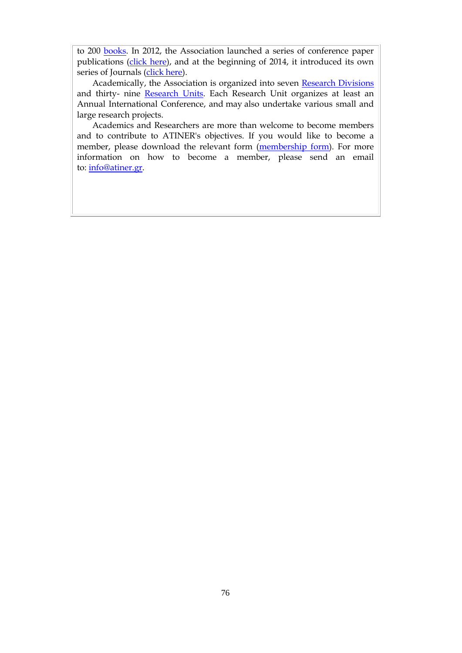to 200 [books.](http://www.atiner.gr/Publications.htm) In 2012, the Association launched a series of conference paper publications [\(click here\)](http://www.atiner.gr/papers.htm), and at the beginning of 2014, it introduced its own series of Journals [\(click here\)](http://www.athensjournals.gr/).

Academically, the Association is organized into seven [Research Divisions](http://www.atiner.gr/RESEARCH-DIVISIONS.htm) and thirty- nine [Research Units.](http://www.atiner.gr/RESEARCH-DIVISIONS.htm) Each Research Unit organizes at least an Annual International Conference, and may also undertake various small and large research projects.

Academics and Researchers are more than welcome to become members and to contribute to ATINER's objectives. If you would like to become a member, please download the relevant form [\(membership form\)](http://www.atiner.gr/docs/MEMBER_FORM.doc). For more information on how to become a member, please send an email to: [info@atiner.gr.](mailto:info@atiner.gr)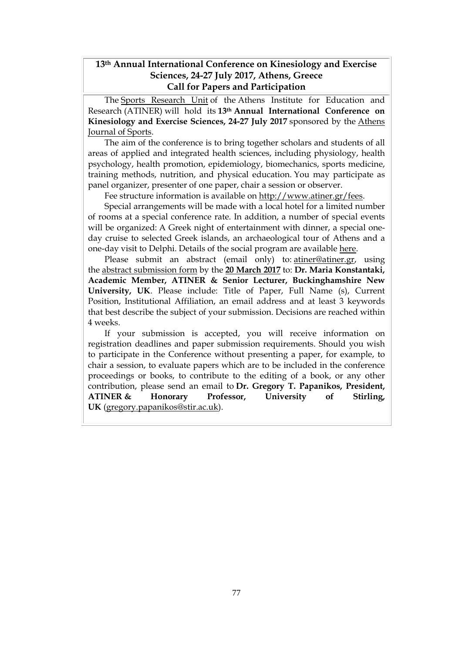## **13th Annual International Conference on Kinesiology and Exercise Sciences, 24-27 July 2017, Athens, Greece Call for Papers and Participation**

The Sports [Research](http://www.atiner.gr/docs/SPORTS_UNIT.htm) Unit of the Athens Institute for Education and Research (ATINER) will hold its **13th Annual International Conference on Kinesiology and Exercise Sciences, 24-27 July 2017** sponsored by the [Athens](http://www.athensjournals.gr/ajspo) [Journal](http://www.athensjournals.gr/ajspo) of Sports.

The aim of the conference is to bring together scholars and students of all areas of applied and integrated health sciences, including physiology, health psychology, health promotion, epidemiology, biomechanics, sports medicine, training methods, nutrition, and physical education. You may participate as panel organizer, presenter of one paper, chair a session or observer.

Fee structure information is available on [http://www.atiner.gr/fees.](http://www.atiner.gr/fees)

Special arrangements will be made with a local hotel for a limited number of rooms at a special conference rate. In addition, a number of special events will be organized: A Greek night of entertainment with dinner, a special oneday cruise to selected Greek islands, an archaeological tour of Athens and a one-day visit to Delphi. Details of the social program are available [here.](http://www.atiner.gr/social-program)

Please submit an abstract (email only) to: [atiner@atiner.gr,](mailto:atiner@atiner.gr) using the abstract [submission](http://www.atiner.gr/2017/FORM-FIT.doc) form by the **20 March 2017** to: **Dr. Maria Konstantaki, Academic Member, ATINER & Senior Lecturer, Buckinghamshire New University, UK**. Please include: Title of Paper, Full Name (s), Current Position, Institutional Affiliation, an email address and at least 3 keywords that best describe the subject of your submission. Decisions are reached within 4 weeks.

If your submission is accepted, you will receive information on registration deadlines and paper submission requirements. Should you wish to participate in the Conference without presenting a paper, for example, to chair a session, to evaluate papers which are to be included in the conference proceedings or books, to contribute to the editing of a book, or any other contribution, please send an email to **Dr. Gregory T. Papanikos, President, ATINER & Honorary Professor, University of Stirling, UK** [\(gregory.papanikos@stir.ac.uk\)](mailto:gregory.papanikos@stir.ac.uk).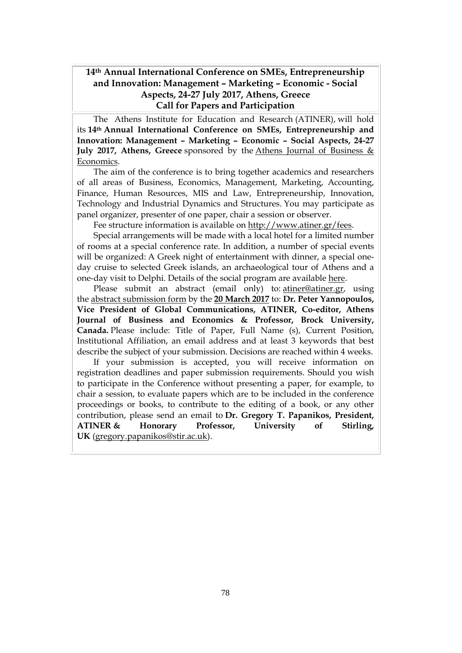## **14th Annual International Conference on SΜΕs, Entrepreneurship and Innovation: Management – Marketing – Economic - Social Aspects, 24-27 July 2017, Athens, Greece Call for Papers and Participation**

The Athens Institute for Education and Research (ATINER), will hold its **14th Annual International Conference on SΜΕs, Entrepreneurship and Innovation: Management – Marketing – Economic – Social Aspects, 24-27 July 2017, Athens, Greece** sponsored by the Athens Journal of [Business](http://www.athensjournals.gr/ajbe) & [Economics.](http://www.athensjournals.gr/ajbe)

The aim of the conference is to bring together academics and researchers of all areas of Business, Economics, Management, Marketing, Accounting, Finance, Human Resources, MIS and Law, Entrepreneurship, Innovation, Technology and Industrial Dynamics and Structures. You may participate as panel organizer, presenter of one paper, chair a session or observer.

Fee structure information is available on [http://www.atiner.gr/fees.](http://www.atiner.gr/fees)

Special arrangements will be made with a local hotel for a limited number of rooms at a special conference rate. In addition, a number of special events will be organized: A Greek night of entertainment with dinner, a special oneday cruise to selected Greek islands, an archaeological tour of Athens and a one-day visit to Delphi. Details of the social program are available [here.](http://www.atiner.gr/social-program)

Please submit an abstract (email only) to: [atiner@atiner.gr,](mailto:atiner@atiner.gr) using the abstract [submission](http://www.atiner.gr/2017/FORM-SME.doc) form by the **20 March 2017** to: **Dr. Peter Yannopoulos, Vice President of Global Communications, ATINER, Co-editor, Athens Journal of Business and Economics & Professor, Brock University, Canada.** Please include: Title of Paper, Full Name (s), Current Position, Institutional Affiliation, an email address and at least 3 keywords that best describe the subject of your submission. Decisions are reached within 4 weeks.

If your submission is accepted, you will receive information on registration deadlines and paper submission requirements. Should you wish to participate in the Conference without presenting a paper, for example, to chair a session, to evaluate papers which are to be included in the conference proceedings or books, to contribute to the editing of a book, or any other contribution, please send an email to **Dr. Gregory T. Papanikos, President, ATINER & Honorary Professor, University of Stirling, UK** [\(gregory.papanikos@stir.ac.uk\)](mailto:gregory.papanikos@stir.ac.uk).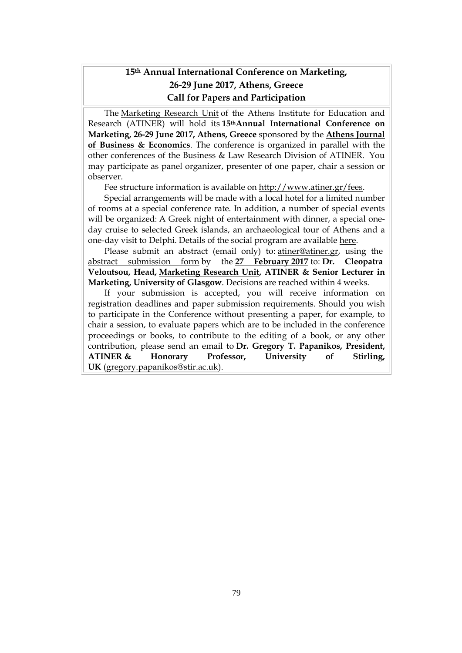# **15th Annual International Conference on Marketing, 26-29 June 2017, Athens, Greece Call for Papers and Participation**

The [Marketing](http://www.atiner.gr/docs/MARKETING_UNIT.htm) Research Unit of the Athens Institute for Education and Research (ATINER) will hold its **15thAnnual International Conference on Marketing, 26-29 June 2017, Athens, Greece** sponsored by the **Athens [Journal](http://www.athensjournals.gr/ajbe) of Business & [Economics](http://www.athensjournals.gr/ajbe)**. The conference is organized in parallel with the other conferences of the Business & Law Research Division of ATINER. You may participate as panel organizer, presenter of one paper, chair a session or observer.

Fee structure information is available on [http://www.atiner.gr/fees.](http://www.atiner.gr/fees)

Special arrangements will be made with a local hotel for a limited number of rooms at a special conference rate. In addition, a number of special events will be organized: A Greek night of entertainment with dinner, a special oneday cruise to selected Greek islands, an archaeological tour of Athens and a one-day visit to Delphi. Details of the social program are available [here.](http://www.atiner.gr/social-program)

Please submit an abstract (email only) to: [atiner@atiner.gr,](mailto:atiner@atiner.gr) using the abstract [submission](http://www.atiner.gr/2016/FORM-MKT.doc) form by the **27 February 2017** to: **Dr. Cleopatra Veloutsou, Head, [Marketing](http://www.atiner.gr/docs/MARKETING_UNIT.htm) Research Unit, ATINER & Senior Lecturer in Marketing, University of Glasgow**. Decisions are reached within 4 weeks.

If your submission is accepted, you will receive information on registration deadlines and paper submission requirements. Should you wish to participate in the Conference without presenting a paper, for example, to chair a session, to evaluate papers which are to be included in the conference proceedings or books, to contribute to the editing of a book, or any other contribution, please send an email to **Dr. Gregory T. Papanikos, President, ATINER & Honorary Professor, University of Stirling, UK** [\(gregory.papanikos@stir.ac.uk\)](mailto:gregory.papanikos@stir.ac.uk).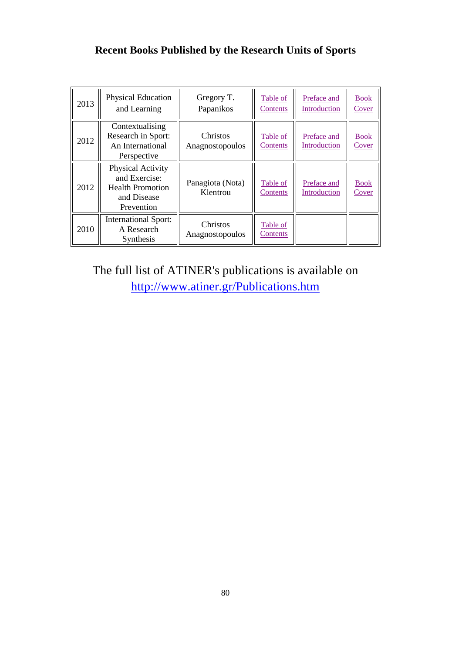# **Recent Books Published by the Research Units of Sports**

| 2013 | Physical Education<br>and Learning                                                         | Gregory T.<br>Papanikos      | Table of<br>Contents | Preface and<br>Introduction | <b>Book</b><br>Cover        |
|------|--------------------------------------------------------------------------------------------|------------------------------|----------------------|-----------------------------|-----------------------------|
| 2012 | Contextualising<br>Research in Sport:<br>An International<br>Perspective                   | Christos<br>Anagnostopoulos  | Table of<br>Contents | Preface and<br>Introduction | <b>Book</b><br>Cover        |
| 2012 | Physical Activity<br>and Exercise:<br><b>Health Promotion</b><br>and Disease<br>Prevention | Panagiota (Nota)<br>Klentrou | Table of<br>Contents | Preface and<br>Introduction | <b>Book</b><br><u>Cover</u> |
| 2010 | <b>International Sport:</b><br>A Research<br>Synthesis                                     | Christos<br>Anagnostopoulos  | Table of<br>Contents |                             |                             |

The full list of ATINER's publications is available on <http://www.atiner.gr/Publications.htm>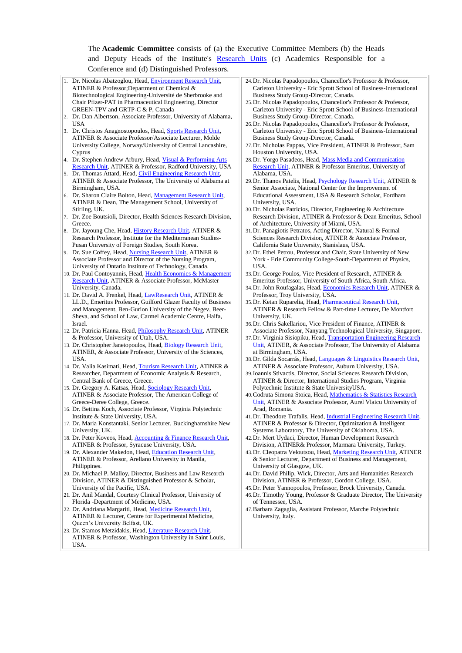#### The **Academic Committee** consists of (a) the Executive Committee Members (b) the Heads and Deputy Heads of the Institute's [Research Units](http://www.atiner.gr/RESEARCH-DIVISIONS.htm) (c) Academics Responsible for a Conference and (d) Distinguished Professors.

- 1. Dr. Nicolas Abatzoglou, Head[, Environment Research Unit,](http://www.atiner.gr/ENVIRONMENT-UNIT.htm)  ATINER & Professor;Department of Chemical & Biotechnological Engineering-Université de Sherbrooke and Chair Pfizer-PAT in Pharmaceutical Engineering, Director GREEN-TPV and GRTP-C & P, Canada
- 2. Dr. Dan Albertson, Associate Professor, University of Alabama, USA
- 3. Dr. Christos Anagnostopoulos, Head, [Sports Research Unit,](http://www.atiner.gr/SPORTS-UNIT.htm) ATINER & Associate Professor/Associate Lecturer, Molde University College, Norway/University of Central Lancashire, Cyprus
- 4. Dr. Stephen Andrew Arbury, Head, Visual & Performing Arts [Research Unit,](http://www.atiner.gr/ARTS-UNIT.htm) ATINER & Professor, Radford University, USA
- 5. Dr. Thomas Attard, Head, Civil Engineering Research Unit, ATINER & Associate Professor, The University of Alabama at Birmingham, USA.
- Dr. Sharon Claire Bolton, Head, Management Research Unit, ATINER & Dean, The Management School, University of Stirling, UK.
- 7. Dr. Zoe Boutsioli, Director, Health Sciences Research Division, Greece.
- Dr. Jayoung Che, Head, [History Research Unit,](http://www.atiner.gr/HISTORY.htm) ATINER & Research Professor, Institute for the Mediterranean Studies-Pusan University of Foreign Studies, South Korea.
- Dr. Sue Coffey, Head, [Nursing Research Unit,](http://www.atiner.gr/NURSING-UNIT.htm) ATINER & Associate Professor and Director of the Nursing Program, University of Ontario Institute of Technology, Canada.
- 10. Dr. Paul Contoyannis, Head, Health Economics & Management [Research Unit,](http://www.atiner.gr/HEALTH-UNIT.htm) ATINER & Associate Professor, McMaster University, Canada.
- 11. Dr. David A. Frenkel, Head, [LawResearch Unit,](http://www.atiner.gr/LAW-UNIT.htm) ATINER & LL.D., Emeritus Professor, Guilford Glazer Faculty of Business and Management, Ben-Gurion University of the Negev, Beer-Sheva, and School of Law, Carmel Academic Centre, Haifa, Israel.
- 12. Dr. Patricia Hanna. Head, [Philosophy Research Unit,](http://www.atiner.gr/PHILOSHOPHY-UNIT.htm) ATINER & Professor, University of Utah, USA.
- 13. Dr. Christopher Janetopoulos, Head, [Biology Research Unit,](http://www.atiner.gr/BIOLOGY-UNIT.htm) ATINER, & Associate Professor, University of the Sciences, USA.
- 14. Dr. Valia Kasimati, Head, [Tourism Research Unit,](http://www.atiner.gr/TOURISM-UNIT.htm) ATINER & Researcher, Department of Economic Analysis & Research, Central Bank of Greece, Greece.
- 15. Dr. Gregory A. Katsas, Head, [Sociology Research Unit,](http://www.atiner.gr/SOCIOLOGY-UNIT.htm)  ATINER & Associate Professor, The American College of Greece-Deree College, Greece.
- 16. Dr. Bettina Koch, Associate Professor, Virginia Polytechnic Institute & State University, USA.
- 17. Dr. Maria Konstantaki, Senior Lecturer, Buckinghamshire New University, UK.
- 18. Dr. Peter Koveos, Head, [Accounting & Finance Research Unit,](http://www.atiner.gr/ACCOUNTING-UNIT.htm)  ATINER & Professor, Syracuse University, USA.
- 19. Dr. Alexander Makedon, Head, Education Research Unit, ATINER & Professor, Arellano University in Manila, Philippines.
- 20. Dr. Michael P. Malloy, Director, Business and Law Research Division, ATINER & Distinguished Professor & Scholar, University of the Pacific, USA.
- 21. Dr. Anil Mandal, Courtesy Clinical Professor, University of Florida -Department of Medicine, USA.
- 22. Dr. Andriana Margariti, Head, [Medicine Research Unit,](http://www.atiner.gr/MEDICINE-UNIT.htm) ATINER & Lecturer, Centre for Experimental Medicine, Queen's University Belfast, UK.
- 23. Dr. Stamos Metzidakis, Head, [Literature Research Unit,](http://www.atiner.gr/LITERATURE-UNIT.htm)  ATINER & Professor, Washington University in Saint Louis, USA.
- 24.Dr. Nicolas Papadopoulos, Chancellor's Professor & Professor, Carleton University - Eric Sprott School of Business-International Business Study Group-Director, Canada.
- 25.Dr. Nicolas Papadopoulos, Chancellor's Professor & Professor, Carleton University - Eric Sprott School of Business-International Business Study Group-Director, Canada.
- 26.Dr. Nicolas Papadopoulos, Chancellor's Professor & Professor, Carleton University - Eric Sprott School of Business-International Business Study Group-Director, Canada.
- 27.Dr. Nicholas Pappas, Vice President, ATINER & Professor, Sam Houston University, USA.
- 28.Dr. Yorgo Pasadeos, Head, [Mass Media and Communication](http://www.atiner.gr/MEDIA-UNIT.htm)  [Research Unit,](http://www.atiner.gr/MEDIA-UNIT.htm) ATINER & Professor Emeritus, University of Alabama, USA.
- 29.Dr. Thanos Patelis, Head, [Psychology Research Unit,](http://www.atiner.gr/PSYCHOLOGY-UNIT.htm) ATINER & Senior Associate, National Center for the Improvement of Educational Assessment, USA & Research Scholar, Fordham University, USA.
- 30.Dr. Nicholas Patricios, Director, Engineering & Architecture Research Division, ATINER & Professor & Dean Emeritus, School of Architecture, University of Miami, USA.
- 31.Dr. Panagiotis Petratos, Acting Director, Natural & Formal Sciences Research Division, ATINER & Associate Professor, California State University, Stanislaus, USA.
- 32.Dr. Ethel Petrou, Professor and Chair, State University of New York - Erie Community College-South-Department of Physics, USA.
- 33.Dr. George Poulos, Vice President of Research, ATINER & Emeritus Professor, University of South Africa, South Africa.
- 34.Dr. John Roufagalas, Head, [Economics Research Unit,](http://www.atiner.gr/ECONOMICS-UNIT.htm) ATINER & Professor, Troy University, USA.
- 35. Dr. Ketan Ruparelia, Head, Pharmaceutical Research Unit, ATINER & Research Fellow & Part-time Lecturer, De Montfort University, UK.
- 36.Dr. Chris Sakellariou, Vice President of Finance, ATINER & Associate Professor, Nanyang Technological University, Singapore.
- 37.Dr. Virginia Sisiopiku, Head, [Transportation Engineering Research](http://www.atiner.gr/TRANSPORTATION-UNIT.htm)  [Unit,](http://www.atiner.gr/TRANSPORTATION-UNIT.htm) ATINER, & Associate Professor, The University of Alabama at Birmingham, USA.
- 38.Dr. Gilda Socarrás, Head, [Languages & Linguistics Research Unit,](http://www.atiner.gr/LANGUAGES-UNIT.htm)  ATINER & Associate Professor, Auburn University, USA.
- 39.Ioannis Stivactis, Director, Social Sciences Research Division, ATINER & Director, International Studies Program, Virginia Polytechnic Institute & State UniversityUSA.
- 40.Codruta Simona Stoica, Head, [Mathematics & Statistics Research](http://www.atiner.gr/MATHEMATICS-UNIT.htm)  [Unit,](http://www.atiner.gr/MATHEMATICS-UNIT.htm) ATINER & Associate Professor, Aurel Vlaicu University of Arad, Romania.
- 41.Dr. Theodore Trafalis, Head, [Industrial Engineering Research Unit,](http://www.atiner.gr/INDUSTRIAL-UNIT.htm) ATINER & Professor & Director, Optimization & Intelligent Systems Laboratory, The University of Oklahoma, USA.
- 42.Dr. Mert Uydaci, Director, Human Development Research Division, ATINER& Professor, Marmara University, Turkey.
- 43.Dr. Cleopatra Veloutsou, Head, [Marketing Research Unit,](http://www.atiner.gr/MARKETING-UNIT.htm) ATINER & Senior Lecturer, Department of Business and Management, University of Glasgow, UK.
- 44.Dr. David Philip, Wick, Director, Arts and Humanities Research Division, ATINER & Professor, Gordon College, USA.
- 45.Dr. Peter Yannopoulos, Professor, Brock University, Canada. 46.Dr. Timothy Young, Professor & Graduate Director, The University
- of Tennessee, USA. 47.Barbara Zagaglia, Assistant Professor, Marche Polytechnic University, Italy.